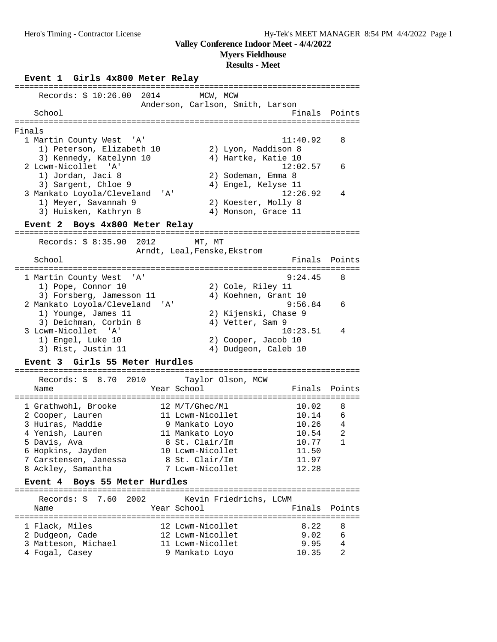**Myers Fieldhouse**

### **Results - Meet**

**Event 1 Girls 4x800 Meter Relay** ======================================================================= Records: \$ 10:26.00 2014 MCW, MCW Anderson, Carlson, Smith, Larson School Finals Points Points Points Points Points Points Points Points Points Points Points Points Points Points Points Points Points Points Points Points Points Points Points Points Points Points Points Points Points Point ======================================================================= Finals 1 Martin County West 'A' 11:40.92 8 1) Peterson, Elizabeth 10 2) Lyon, Maddison 8 3) Kennedy, Katelynn 10 4) Hartke, Katie 10 2 Lcwm-Nicollet 'A' 12:02.57 6 1) Jordan, Jaci 8 2) Sodeman, Emma 8 3) Sargent, Chloe 9 (4) Engel, Kelyse 11 3 Mankato Loyola/Cleveland 'A' 12:26.92 4 1) Meyer, Savannah 9 2) Koester, Molly 8 3) Huisken, Kathryn 8 (4) Monson, Grace 11 **Event 2 Boys 4x800 Meter Relay** ======================================================================= Records: \$ 8:35.90 2012 MT, MT Arndt, Leal, Fenske, Ekstrom School **Finals Points** ======================================================================= 1 Martin County West 'A' 9:24.45 8 1) Pope, Connor 10 2) Cole, Riley 11 3) Forsberg, Jamesson 11 (4) Koehnen, Grant 10 2 Mankato Loyola/Cleveland 'A' 9:56.84 6 1) Younge, James 11 2) Kijenski, Chase 9 3) Deichman, Corbin 8 (4) Vetter, Sam 9 3 Lcwm-Nicollet 'A' 10:23.51 4 1) Engel, Luke 10 2) Cooper, Jacob 10 3) Rist, Justin 11 (4) Dudgeon, Caleb 10 **Event 3 Girls 55 Meter Hurdles** ======================================================================= Records: \$ 8.70 2010 Taylor Olson, MCW Name The Year School The Finals Points ======================================================================= 1 Grathwohl, Brooke 12 M/T/Ghec/Ml 10.02 8 2 Cooper, Lauren 11 Lcwm-Nicollet 10.14 6 3 Huiras, Maddie 9 Mankato Loyo 10.26 4 4 Yenish, Lauren 11 Mankato Loyo 10.54 2 5 Davis, Ava 8 St. Clair/Im 10.77 1 6 Hopkins, Jayden 10 Lcwm-Nicollet 11.50 7 Carstensen, Janessa 8 St. Clair/Im 11.97 8 Ackley, Samantha 7 Lcwm-Nicollet 12.28 **Event 4 Boys 55 Meter Hurdles** ======================================================================= Records: \$ 7.60 2002 Kevin Friedrichs, LCWM Name The Year School The Finals Points ======================================================================= 1 Flack, Miles 12 Lcwm-Nicollet 8.22 8 2 Dudgeon, Cade 12 Lcwm-Nicollet 9.02 6 3 Matteson, Michael 11 Lcwm-Nicollet 9.95 4 4 Fogal, Casey 9 Mankato Loyo 10.35 2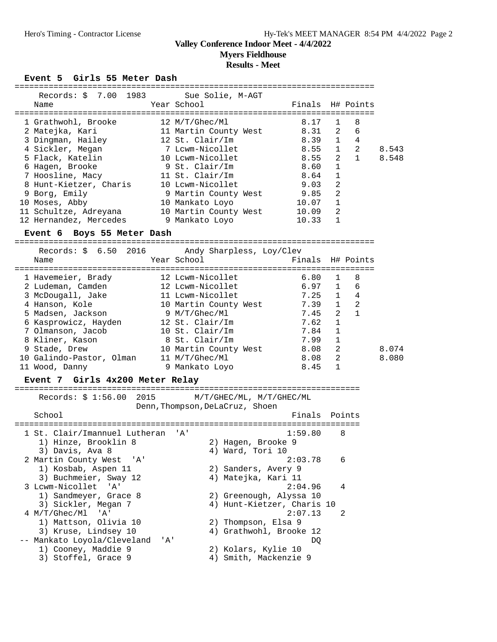**Myers Fieldhouse**

### **Results - Meet**

### Event 5 Girls 55 Meter Dash

| Records: \$ 7.00 1983 Sue Solie, M-AGT |                       |                  |                |             |       |
|----------------------------------------|-----------------------|------------------|----------------|-------------|-------|
| Name                                   | Year School           | Finals H# Points |                |             |       |
|                                        |                       |                  |                |             |       |
| 1 Grathwohl, Brooke                    | 12 M/T/Ghec/M1        | 8.17             | $\mathbf{1}$   | 8           |       |
| 2 Matejka, Kari                        | 11 Martin County West | 8.31 2           |                | 6           |       |
| 3 Dingman, Hailey                      | 12 St. Clair/Im       | 8.39             | $\mathbf{1}$   | 4           |       |
| 4 Sickler, Megan                       | 7 Lcwm-Nicollet       | 8.55             | $\mathbf{1}$   | 2           | 8.543 |
| 5 Flack, Katelin                       | 10 Lcwm-Nicollet      | 8.55             |                | $2 \quad 1$ | 8.548 |
| 6 Hagen, Brooke                        | 9 St. Clair/Im        | 8.60             | $\mathbf{1}$   |             |       |
| 7 Hoosline, Macy                       | 11 St. Clair/Im       | 8.64             | $\mathbf{1}$   |             |       |
| 8 Hunt-Kietzer, Charis                 | 10 Lcwm-Nicollet      | 9.03             | 2              |             |       |
| 9 Borg, Emily                          | 9 Martin County West  | 9.85             | $\overline{2}$ |             |       |
| 10 Moses, Abby                         | 10 Mankato Loyo       | 10.07            | 1              |             |       |
| 11 Schultze, Adreyana                  | 10 Martin County West | 10.09            | $\overline{2}$ |             |       |
| 12 Hernandez, Mercedes                 | 9 Mankato Loyo        | 10.33            | 1              |             |       |
|                                        |                       |                  |                |             |       |

### **Event 6 Boys 55 Meter Dash**

==========================================================================

| Records: \$ 6.50 2016    | Andy Sharpless, Loy/Clev |                  |              |              |       |
|--------------------------|--------------------------|------------------|--------------|--------------|-------|
| Name                     | Year School              | Finals H# Points |              |              |       |
| 1 Havemeier, Brady       | 12 Lcwm-Nicollet         | 6.80             |              | -8           |       |
| 2 Ludeman, Camden        | 12 Lcwm-Nicollet         | $6.97 \quad 1$   |              | 6            |       |
| 3 McDougall, Jake        | 11 Lcwm-Nicollet         | 7.25             | $\mathbf{1}$ | 4            |       |
| 4 Hanson, Kole           | 10 Martin County West    | 7.39             | $\mathbf{1}$ | 2            |       |
| 5 Madsen, Jackson        | 9 M/T/Ghec/Ml            | 7.45             | 2            | $\mathbf{1}$ |       |
| 6 Kasprowicz, Hayden     | 12 St. Clair/Im          | 7.62             | $\mathbf{1}$ |              |       |
| 7 Olmanson, Jacob        | 10 St. Clair/Im          | 7.84             | 1            |              |       |
| 8 Kliner, Kason          | 8 St. Clair/Im           | 7.99             | 1            |              |       |
| 9 Stade, Drew            | 10 Martin County West    | 8.08             | 2            |              | 8.074 |
| 10 Galindo-Pastor, Olman | 11 M/T/Ghec/Ml           | 8.08             | 2            |              | 8.080 |
| 11 Wood, Danny           | 9 Mankato Loyo           | 8.45             | 1            |              |       |

### **Event 7 Girls 4x200 Meter Relay**

======================================================================= Records: \$ 1:56.00 2015 M/T/GHEC/ML, M/T/GHEC/ML Denn,Thompson,DeLaCruz, Shoen School **Finals** Points ======================================================================= 1 St. Clair/Imannuel Lutheran 'A' 1) Hinze, Brooklin 8 2) Hagen, Brooke 9 3) Davis, Ava 8 4) Ward, Tori 10 2 Martin County West 'A' 2:03.78 6<br>1) Kosbab, Aspen 11 2) Sanders, Avery 9 1) Kosbab, Aspen 11 2) Sanders, Avery 9 3) Buchmeier, Sway 12 (4) Matejka, Kari 11 3 Lcwm-Nicollet 'A' 2:04.96 4 1) Sandmeyer, Grace 8 2) Greenough, Alyssa 10 3) Sickler, Megan 7 4) Hunt-Kietzer, Charis 10 4 M/T/Ghec/Ml 'A' 2:07.13 2 1) Mattson, Olivia 10 2) Thompson, Elsa 9 3) Kruse, Lindsey 10 4) Grathwohl, Brooke 12 -- Mankato Loyola/Cleveland 'A' DQ 1) Cooney, Maddie 9 2) Kolars, Kylie 10 3) Stoffel, Grace 9 4) Smith, Mackenzie 9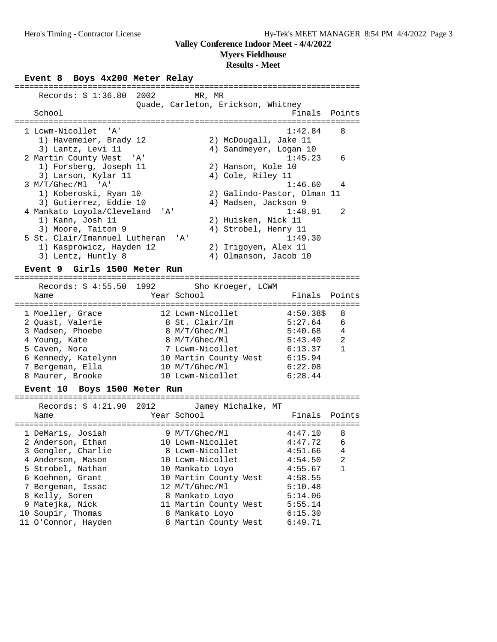**Myers Fieldhouse**

### **Results - Meet**

### Event 8 Boys 4x200 Meter Relay

| Records: $$1:36.80$ 2002          | MR, MR      |                                    |               |        |
|-----------------------------------|-------------|------------------------------------|---------------|--------|
|                                   |             | Quade, Carleton, Erickson, Whitney |               |        |
| School                            |             |                                    | Finals Points |        |
|                                   |             |                                    |               |        |
|                                   |             |                                    |               |        |
| 1 Lcwm-Nicollet 'A'               |             |                                    | 1:42.84       | 8      |
| 1) Havemeier, Brady 12            |             | 2) McDougall, Jake 11              |               |        |
| 3) Lantz, Levi 11                 |             | 4) Sandmeyer, Logan 10             |               |        |
| 2 Martin County West 'A'          |             |                                    | 1:45.23       | 6      |
| 1) Forsberg, Joseph 11            |             | 2) Hanson, Kole 10                 |               |        |
| 3) Larson, Kylar 11               |             | 4) Cole, Riley 11                  |               |        |
| $3 M/T/Ghec/M1$ 'A'               |             |                                    | 1:46.60       | - 4    |
|                                   |             |                                    |               |        |
| 1) Koberoski, Ryan 10             |             | 2) Galindo-Pastor, Olman 11        |               |        |
| 3) Gutierrez, Eddie 10            |             | 4) Madsen, Jackson 9               |               |        |
| 4 Mankato Loyola/Cleveland 'A'    |             |                                    | 1:48.91       | 2      |
| 1) Kann, Josh 11                  |             | 2) Huisken, Nick 11                |               |        |
| 3) Moore, Taiton 9                |             | 4) Strobel, Henry 11               |               |        |
| 5 St. Clair/Imannuel Lutheran 'A' |             |                                    | 1:49.30       |        |
|                                   |             |                                    |               |        |
| 1) Kasprowicz, Hayden 12          |             | 2) Irigoyen, Alex 11               |               |        |
| 3) Lentz, Huntly 8                |             | 4) Olmanson, Jacob 10              |               |        |
| Event 9 Girls 1500 Meter Run      |             |                                    |               |        |
|                                   |             |                                    |               |        |
| Records: $$4:55.50$ 1992          |             | Sho Kroeger, LCWM                  |               |        |
| Name                              | Year School |                                    | Finals        | Points |
|                                   |             |                                    |               |        |

| name                                 | rear School                        | Finais.             | POINTS         |
|--------------------------------------|------------------------------------|---------------------|----------------|
| 1 Moeller, Grace<br>2 Ouast, Valerie | 12 Lcwm-Nicollet<br>8 St. Clair/Im | 4:50.385<br>5:27.64 | 8<br>6         |
| 3 Madsen, Phoebe                     | 8 M/T/Ghec/Ml                      | 5:40.68             | 4              |
| 4 Young, Kate                        | 8 M/T/Ghec/Ml                      | 5:43.40             | $\mathfrak{D}$ |
| 5 Caven, Nora                        | 7 Lcwm-Nicollet                    | 6:13.37             |                |
| 6 Kennedy, Katelynn                  | 10 Martin County West              | 6:15.94             |                |
| 7 Bergeman, Ella                     | 10 M/T/Ghec/Ml                     | 6:22.08             |                |
| 8 Maurer, Brooke                     | 10 Lcwm-Nicollet                   | 6:28.44             |                |
|                                      |                                    |                     |                |

### **Event 10 Boys 1500 Meter Run**

| Records: \$ 4:21.90 2012<br>Name | Jamey Michalke, MT<br>Year School | Finals  | Points |
|----------------------------------|-----------------------------------|---------|--------|
| 1 DeMaris, Josiah                | 9 M/T/Ghec/Ml                     | 4:47.10 | 8      |
| 2 Anderson, Ethan                | 10 Lcwm-Nicollet                  | 4:47.72 | 6      |
| 3 Gengler, Charlie               | 8 Lcwm-Nicollet                   | 4:51.66 | 4      |
| 4 Anderson, Mason                | 10 Lcwm-Nicollet                  | 4:54.50 | 2      |
| 5 Strobel, Nathan                | 10 Mankato Loyo                   | 4:55.67 |        |
| 6 Koehnen, Grant                 | 10 Martin County West             | 4:58.55 |        |
| 7 Bergeman, Issac                | 12 M/T/Ghec/Ml                    | 5:10.48 |        |
| 8 Kelly, Soren                   | 8 Mankato Loyo                    | 5:14.06 |        |
| 9 Matejka, Nick                  | 11 Martin County West             | 5:55.14 |        |
| 10 Soupir, Thomas                | 8 Mankato Loyo                    | 6:15.30 |        |
| 11 O'Connor, Hayden              | 8 Martin County West              | 6:49.71 |        |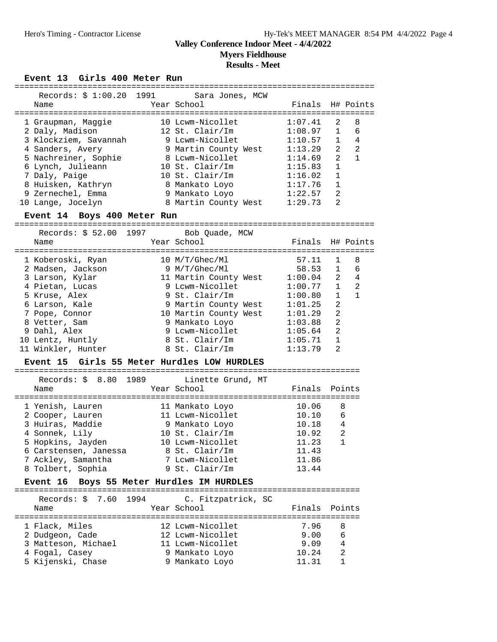**Myers Fieldhouse**

# **Results - Meet**

### Event 13 Girls 400 Meter Run

| Records: \$1:00.20 1991 Sara Jones, MCW     |             |                                  |                       |                |                |
|---------------------------------------------|-------------|----------------------------------|-----------------------|----------------|----------------|
| Name                                        |             | Year School                      | Finals                |                | H# Points      |
|                                             |             |                                  |                       |                |                |
| 1 Graupman, Maggie                          |             | 10 Lcwm-Nicollet                 | 1:07.41               | 2              | 8              |
| 2 Daly, Madison                             |             | 12 St. Clair/Im                  | 1:08.97               | $\mathbf{1}$   | 6              |
| 3 Klockziem, Savannah 9 Lcwm-Nicollet       |             |                                  | 1:10.57               | $\mathbf{1}$   | 4              |
| 4 Sanders, Avery                            |             | 9 Martin County West             | 1:13.29               | 2              | $\overline{2}$ |
| 5 Nachreiner, Sophie                        |             | 8 Lcwm-Nicollet                  | 1:14.69               | $\overline{2}$ | $\mathbf{1}$   |
|                                             |             | 10 St. Clair/Im                  | 1:15.83               | $\mathbf{1}$   |                |
| 6 Lynch, Julieann                           |             |                                  |                       |                |                |
| 7 Daly, Paige                               |             | 10 St. Clair/Im                  | 1:16.02               | $\mathbf{1}$   |                |
| 8 Huisken, Kathryn                          |             | 8 Mankato Loyo                   | 1:17.76               | $\mathbf{1}$   |                |
| 9 Zernechel, Emma                           |             | 9 Mankato Loyo                   | 1:22.57               | $\overline{2}$ |                |
| 10 Lange, Jocelyn                           |             | 8 Martin County West             | 1:29.73               | $\overline{2}$ |                |
| Event 14 Boys 400 Meter Run                 |             |                                  |                       |                |                |
| $\text{Records}:$ \$ 52.00                  | 1997 — 1997 |                                  |                       |                |                |
|                                             |             | Bob Quade, MCW<br>Year School    | Finals                |                |                |
| Name                                        |             |                                  |                       |                | H# Points      |
|                                             |             |                                  |                       |                |                |
| 1 Koberoski, Ryan                           |             | 10 M/T/Ghec/Ml                   | 57.11                 | 1              | 8              |
| 2 Madsen, Jackson                           |             | 9 M/T/Ghec/Ml                    | 58.53                 | $\mathbf{1}$   | 6              |
| 3 Larson, Kylar                             |             | 11 Martin County West            | 1:00.04               | 2              | 4              |
| 4 Pietan, Lucas                             |             | 9 Lcwm-Nicollet                  | 1:00.77               | $\mathbf{1}$   | 2              |
| 5 Kruse, Alex                               |             | 9 St. Clair/Im                   | 1:00.80               | $\mathbf{1}$   | $\mathbf{1}$   |
| 6 Larson, Kale                              |             | 9 Martin County West             | 1:01.25               | $\overline{2}$ |                |
| 7 Pope, Connor                              |             | 10 Martin County West            | 1:01.29               | $\overline{a}$ |                |
| 8 Vetter, Sam                               |             | 9 Mankato Loyo                   | 1:03.88               | $\overline{2}$ |                |
| 9 Dahl, Alex                                |             | 9 Lcwm-Nicollet                  | 1:05.64               | $\overline{2}$ |                |
| 10 Lentz, Huntly                            |             | 8 St. Clair/Im                   | 1:05.71               | $\mathbf{1}$   |                |
| 11 Winkler, Hunter                          |             | 8 St. Clair/Im                   | 1:13.79               | 2              |                |
| Event 15 Girls 55 Meter Hurdles LOW HURDLES |             |                                  |                       |                |                |
|                                             |             |                                  | ===================== |                |                |
| 1989<br>Records: $$8.80$                    |             | Linette Grund, MT                |                       |                |                |
| Name                                        |             | Year School                      | Finals                |                | Points         |
|                                             |             |                                  | ===========           |                |                |
| 1 Yenish, Lauren                            |             | 11 Mankato Loyo                  | 10.06                 | 8              |                |
| 2 Cooper, Lauren                            |             | 11 Lcwm-Nicollet                 | 10.10                 | 6              |                |
| 3 Huiras, Maddie                            |             | 9 Mankato Loyo                   | 10.18                 | 4              |                |
| 4 Sonnek, Lily                              |             | 10 St. Clair/Im                  | 10.92                 | $\overline{2}$ |                |
|                                             |             | 10 Lcwm-Nicollet                 | 11.23                 | $\mathbf{1}$   |                |
| 5 Hopkins, Jayden                           |             |                                  |                       |                |                |
| 6 Carstensen, Janessa                       |             | 8 St. Clair/Im                   | 11.43                 |                |                |
| 7 Ackley, Samantha                          |             | 7 Lcwm-Nicollet                  | 11.86                 |                |                |
| 8 Tolbert, Sophia                           |             | 9 St. Clair/Im                   | 13.44                 |                |                |
| <b>Event 16</b>                             |             | Boys 55 Meter Hurdles IM HURDLES |                       |                |                |
| 7.60<br>1994<br>Records: \$                 |             | C. Fitzpatrick, SC               |                       |                |                |
| Name                                        |             | Year School                      | Finals                |                | Points         |
|                                             |             |                                  |                       |                |                |
| 1 Flack, Miles                              |             | 12 Lcwm-Nicollet                 | 7.96                  | 8              |                |
|                                             |             | 12 Lcwm-Nicollet                 | 9.00                  | 6              |                |
| 2 Dudgeon, Cade                             |             | 11 Lcwm-Nicollet                 | 9.09                  |                |                |
| 3 Matteson, Michael                         |             |                                  |                       | 4              |                |
| 4 Fogal, Casey                              |             | 9 Mankato Loyo                   | 10.24                 | $\overline{2}$ |                |
| 5 Kijenski, Chase                           |             | 9 Mankato Loyo                   | 11.31                 | $\mathbf{1}$   |                |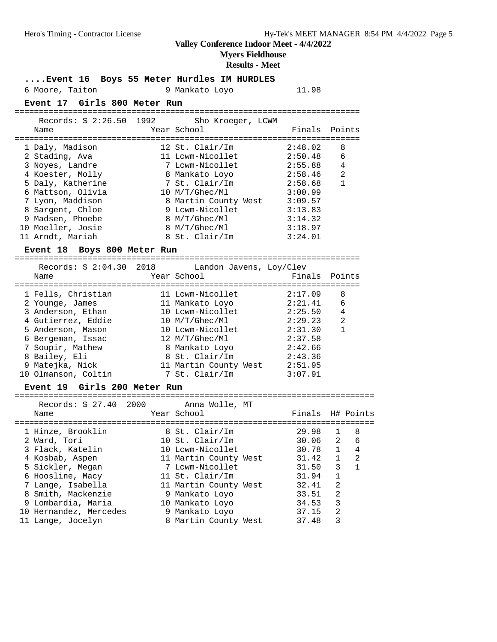**Myers Fieldhouse**

### **Results - Meet**

**....Event 16 Boys 55 Meter Hurdles IM HURDLES**

## 6 Moore, Taiton 9 Mankato Loyo 11.98

### **Event 17 Girls 800 Meter Run**

======================================================================= Records: \$ 2:26.50 1992 Sho Kroeger, LCWM Name **Name** Year School **Finals Points** 

| 1 Daly, Madison   | 12 St. Clair/Im      | 2:48.02 | 8              |
|-------------------|----------------------|---------|----------------|
| 2 Stading, Ava    | 11 Lcwm-Nicollet     | 2:50.48 | 6              |
| 3 Noyes, Landre   | 7 Lcwm-Nicollet      | 2:55.88 | 4              |
| 4 Koester, Molly  | 8 Mankato Loyo       | 2:58.46 | $\mathfrak{D}$ |
| 5 Daly, Katherine | 7 St. Clair/Im       | 2:58.68 |                |
| 6 Mattson, Olivia | 10 M/T/Ghec/Ml       | 3:00.99 |                |
| 7 Lyon, Maddison  | 8 Martin County West | 3:09.57 |                |
| 8 Sargent, Chloe  | 9 Lcwm-Nicollet      | 3:13.83 |                |
| 9 Madsen, Phoebe  | 8 M/T/Ghec/Ml        | 3:14.32 |                |
| 10 Moeller, Josie | 8 M/T/Ghec/Ml        | 3:18.97 |                |
| 11 Arndt, Mariah  | 8 St. Clair/Im       | 3:24.01 |                |
|                   |                      |         |                |

### **Event 18 Boys 800 Meter Run**

======================================================================= Records: \$ 2:04.30 2018 Landon Javens, Loy/Clev

| Name                | Year School           | Finals Points |   |
|---------------------|-----------------------|---------------|---|
| 1 Fells, Christian  | 11 Lcwm-Nicollet      | 2:17.09       | 8 |
| 2 Younge, James     | 11 Mankato Loyo       | 2:21.41       | 6 |
| 3 Anderson, Ethan   | 10 Lcwm-Nicollet      | 2:25.50       | 4 |
| 4 Gutierrez, Eddie  | 10 M/T/Ghec/Ml        | 2:29.23       | 2 |
| 5 Anderson, Mason   | 10 Lcwm-Nicollet      | 2:31.30       |   |
| 6 Bergeman, Issac   | 12 M/T/Ghec/M1        | 2:37.58       |   |
| 7 Soupir, Mathew    | 8 Mankato Loyo        | 2:42.66       |   |
| 8 Bailey, Eli       | 8 St. Clair/Im        | 2:43.36       |   |
| 9 Matejka, Nick     | 11 Martin County West | 2:51.95       |   |
| 10 Olmanson, Coltin | 7 St. Clair/Im        | 3:07.91       |   |

### **Event 19 Girls 200 Meter Run**

========================================================================== Records: \$ 27.40 2000 Anna Wolle, MT Name The Year School The Finals H# Points ========================================================================== 1 Hinze, Brooklin 8 St. Clair/Im 29.98 1 8 2 Ward, Tori 10 St. Clair/Im 30.06 2 6 3 Flack, Katelin 10 Lcwm-Nicollet 30.78 1 4 4 Kosbab, Aspen 11 Martin County West 31.42 1 2 5 Sickler, Megan 7 Lcwm-Nicollet 31.50 3 1 6 Hoosline, Macy 11 St. Clair/Im 31.94 1 7 Lange, Isabella 11 Martin County West 32.41 2 8 Smith, Mackenzie 9 Mankato Loyo 33.51 2 9 Lombardia, Maria 10 Mankato Loyo 34.53 3 10 Hernandez, Mercedes 9 Mankato Loyo 37.15 2 11 Lange, Jocelyn 8 Martin County West 37.48 3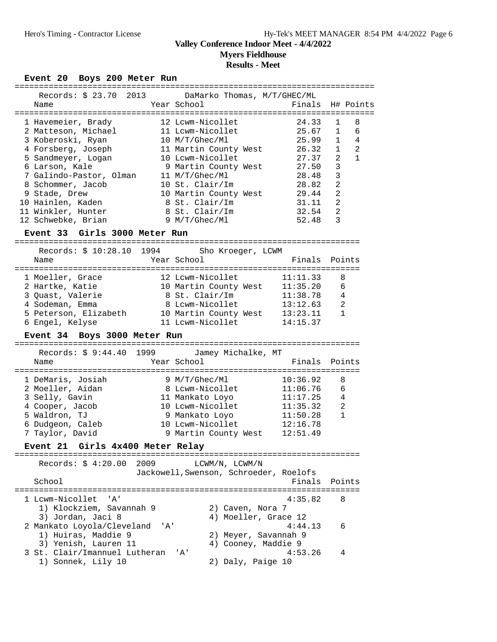**Myers Fieldhouse Results - Meet**

| Event 20 Boys 200 Meter Run                     |     |                                            |                      |                                                       |
|-------------------------------------------------|-----|--------------------------------------------|----------------------|-------------------------------------------------------|
| Records: \$ 23.70 2013<br>Name                  |     | DaMarko Thomas, M/T/GHEC/ML<br>Year School | Finals               | H# Points                                             |
| 1 Havemeier, Brady                              |     | 12 Lcwm-Nicollet                           | 24.33                | 8<br>1                                                |
| 2 Matteson, Michael                             |     | 11 Lcwm-Nicollet                           | 25.67                | 6<br>1                                                |
| 3 Koberoski, Ryan                               |     | 10 M/T/Ghec/Ml                             | 25.99                | 1<br>4                                                |
| 4 Forsberg, Joseph<br>5 Sandmeyer, Logan        |     | 11 Martin County West<br>10 Lcwm-Nicollet  | 26.32<br>27.37       | $\overline{2}$<br>1<br>$\overline{2}$<br>$\mathbf{1}$ |
| 6 Larson, Kale                                  |     | 9 Martin County West                       | 27.50                | 3                                                     |
| 7 Galindo-Pastor, Olman                         |     | 11 M/T/Ghec/Ml                             | 28.48                | $\mathbf{3}$                                          |
| 8 Schommer, Jacob                               |     | 10 St. Clair/Im                            | 28.82                | $\overline{c}$                                        |
| 9 Stade, Drew                                   |     | 10 Martin County West                      | 29.44                | $\overline{2}$                                        |
| 10 Hainlen, Kaden                               |     | 8 St. Clair/Im                             | 31.11                | $\overline{2}$                                        |
| 11 Winkler, Hunter                              |     | 8 St. Clair/Im                             | 32.54                | $\overline{2}$                                        |
| 12 Schwebke, Brian                              |     | 9 M/T/Ghec/Ml                              | 52.48                | 3                                                     |
| Event 33 Girls 3000 Meter Run                   |     |                                            |                      |                                                       |
| Records: \$ 10:28.10 1994                       |     | Sho Kroeger, LCWM                          |                      |                                                       |
| Name                                            |     | Year School                                | Finals               | Points                                                |
| 1 Moeller, Grace                                |     | 12 Lcwm-Nicollet                           | 11:11.33             | 8                                                     |
| 2 Hartke, Katie                                 |     | 10 Martin County West 11:35.20             |                      | 6                                                     |
| 3 Quast, Valerie                                |     | 8 St. Clair/Im                             | 11:38.78             | 4                                                     |
| 4 Sodeman, Emma                                 |     | 8 Lcwm-Nicollet                            | 13:12.63             | 2                                                     |
| 5 Peterson, Elizabeth                           |     | 10 Martin County West 13:23.11             |                      | $\mathbf{1}$                                          |
| 6 Engel, Kelyse                                 |     | 11 Lcwm-Nicollet                           | 14:15.37             |                                                       |
| Event 34 Boys 3000 Meter Run                    |     |                                            |                      |                                                       |
| Records: \$ 9:44.40 1999 Jamey Michalke, MT     |     |                                            |                      |                                                       |
| Name                                            |     | Year School                                | Finals               | Points                                                |
| 1 DeMaris, Josiah                               |     | 9 M/T/Ghec/Ml                              | 10:36.92             | 8                                                     |
|                                                 |     |                                            |                      |                                                       |
| 2 Moeller, Aidan                                |     | 8 Lcwm-Nicollet                            | 11:06.76             | 6                                                     |
| 3 Selly, Gavin                                  |     | 11 Mankato Loyo                            | 11:17.25             | 4                                                     |
| 4 Cooper, Jacob                                 |     | 10 Lcwm-Nicollet                           |                      | 2                                                     |
| 5 Waldron, TJ                                   |     | 9 Mankato Loyo                             | 11:35.32<br>11:50.28 | $\mathbf{1}$                                          |
| 6 Dudgeon, Caleb                                |     | 10 Lcwm-Nicollet                           | 12:16.78             |                                                       |
| 7 Taylor, David                                 |     | 9 Martin County West 12:51.49              |                      |                                                       |
| Event 21 Girls 4x400 Meter Relay                |     |                                            |                      |                                                       |
| Records: \$ 4:20.00 2009                        |     | LCWM/N, LCWM/N                             |                      |                                                       |
|                                                 |     | Jackowell, Swenson, Schroeder, Roelofs     |                      |                                                       |
| School                                          |     |                                            | Finals               | Points                                                |
| 1 Lcwm-Nicollet 'A'                             |     |                                            | 4:35.82              | 8                                                     |
| 1) Klockziem, Savannah 9                        |     | 2) Caven, Nora 7                           |                      |                                                       |
|                                                 |     | 4) Moeller, Grace 12                       |                      |                                                       |
| 3) Jordan, Jaci 8<br>2 Mankato Loyola/Cleveland | 'A' |                                            | 4:44.13              | 6                                                     |
| 1) Huiras, Maddie 9                             |     | 2) Meyer, Savannah 9                       |                      |                                                       |
| 3) Yenish, Lauren 11                            |     | 4) Cooney, Maddie 9                        |                      |                                                       |
| 3 St. Clair/Imannuel Lutheran                   |     | $\overline{A}$                             | 4:53.26              | 4                                                     |
| 1) Sonnek, Lily 10                              |     | 2) Daly, Paige 10                          |                      |                                                       |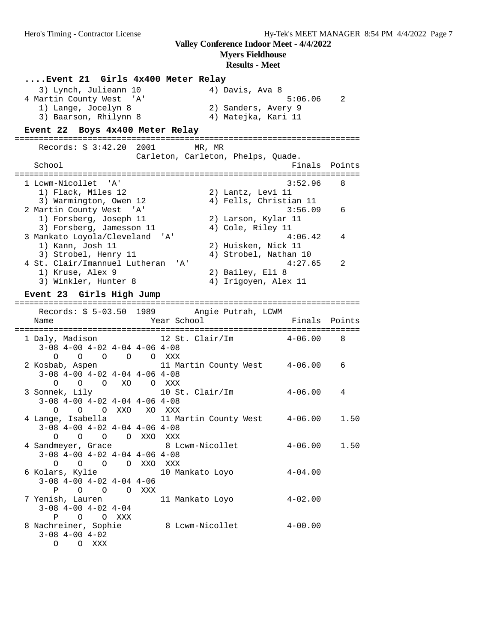### **Myers Fieldhouse**

# **Results - Meet**

| Event 21 Girls 4x400 Meter Relay                                                                  |                 |                                                               |             |                            |
|---------------------------------------------------------------------------------------------------|-----------------|---------------------------------------------------------------|-------------|----------------------------|
| 3) Lynch, Julieann 10<br>4 Martin County West 'A'<br>1) Lange, Jocelyn 8<br>3) Baarson, Rhilynn 8 |                 | 4) Davis, Ava 8<br>2) Sanders, Avery 9<br>4) Matejka, Kari 11 | 5:06.06     | $\overline{\phantom{a}}^2$ |
| Event 22 Boys 4x400 Meter Relay                                                                   |                 |                                                               |             |                            |
| Records: \$ 3:42.20 2001                                                                          |                 | MR, MR<br>Carleton, Carleton, Phelps, Quade.                  |             |                            |
| School                                                                                            |                 |                                                               | Finals      | Points                     |
| 1 Lcwm-Nicollet 'A'<br>1) Flack, Miles 12<br>3) Warmington, Owen 12                               |                 | 2) Lantz, Levi 11<br>4) Fells, Christian 11                   | 3:52.96     | 8                          |
| 2 Martin County West 'A'<br>1) Forsberg, Joseph 11<br>3) Forsberg, Jamesson 11                    |                 | 2) Larson, Kylar 11<br>4) Cole, Riley 11                      | 3:56.09     | 6                          |
| 3 Mankato Loyola/Cleveland 'A'<br>1) Kann, Josh 11<br>3) Strobel, Henry 11                        |                 | 2) Huisken, Nick 11<br>4) Strobel, Nathan 10                  | 4:06.42     | 4                          |
| 4 St. Clair/Imannuel Lutheran 'A'<br>1) Kruse, Alex 9<br>3) Winkler, Hunter 8                     |                 | 2) Bailey, Eli 8<br>4) Irigoyen, Alex 11                      | 4:27.65     | 2                          |
| Event 23 Girls High Jump                                                                          |                 |                                                               |             |                            |
| Records: \$ 5-03.50 1989 Angie Putrah, LCWM<br>Name                                               | Year School     |                                                               | Finals      | Points                     |
| 1 Daly, Madison<br>$3-08$ 4-00 4-02 4-04 4-06 4-08<br>0 0 0 0 0 XXX                               |                 | 12 St. Clair/Im                                               | $4 - 06.00$ | 8                          |
| 2 Kosbab, Aspen<br>$3-08$ 4-00 4-02 4-04 4-06 4-08<br>O O XO O XXX<br>O                           |                 | 11 Martin County West 4-06.00                                 |             | 6                          |
| 3 Sonnek, Lily<br>$3-08$ $4-00$ $4-02$ $4-04$ $4-06$ $4-08$<br>O O O XXO XO XXX                   | 10 St. Clair/Im |                                                               | $4 - 06.00$ | 4                          |
| 4 Lange, Isabella<br>$3-08$ 4-00 4-02 4-04 4-06 4-08<br>0 0 0 0 XXO                               | XXX             | 11 Martin County West 4-06.00                                 |             | 1.50                       |
| 4 Sandmeyer, Grace 8 Lcwm-Nicollet<br>$3-08$ 4-00 4-02 4-04 4-06 4-08<br>0 0 0 0 XXO XXX          |                 |                                                               | $4 - 06.00$ | 1.50                       |
| 6 Kolars, Kylie<br>$3-08$ $4-00$ $4-02$ $4-04$ $4-06$<br>P O O O XXX                              |                 | 10 Mankato Loyo                                               | $4 - 04.00$ |                            |
| 7 Yenish, Lauren<br>$3-08$ 4-00 4-02 4-04<br>O O XXX<br>P                                         |                 | 11 Mankato Loyo                                               | $4 - 02.00$ |                            |
| 8 Nachreiner, Sophie<br>$3-08$ $4-00$ $4-02$<br>O O XXX                                           |                 | 8 Lcwm-Nicollet                                               | $4 - 00.00$ |                            |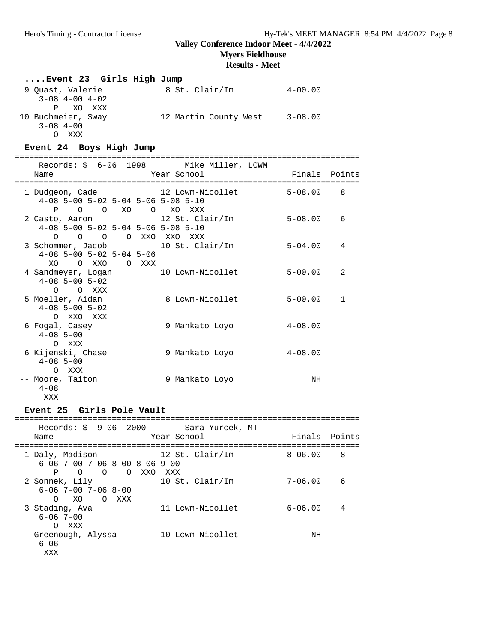O XO O XXX

 6-06 7-00 O XXX

 6-06 XXX

## **Valley Conference Indoor Meet - 4/4/2022**

**Myers Fieldhouse**

### **Results - Meet**

| Event 23 Girls High Jump                                                                 |                               |               |              |
|------------------------------------------------------------------------------------------|-------------------------------|---------------|--------------|
| 9 Ouast, Valerie<br>$3-08$ $4-00$ $4-02$<br>$\mathbf{P}$<br>XO XXX                       | 8 St. Clair/Im                | $4 - 00.00$   |              |
| 10 Buchmeier, Sway<br>$3 - 08$ 4-00<br>O XXX                                             | 12 Martin County West 3-08.00 |               |              |
| Event 24 Boys High Jump                                                                  |                               |               |              |
| Records: \$ 6-06 1998 Mike Miller, LCWM<br>Name                                          | Year School                   | Finals Points |              |
| 1 Dudgeon, Cade<br>4-08 5-00 5-02 5-04 5-06 5-08 5-10<br>P O O XO O XO XXX               | 12 Lcwm-Nicollet              | $5 - 08.00$   | 8            |
| 2 Casto, Aaron<br>4-08 5-00 5-02 5-04 5-06 5-08 5-10<br>O O O XXO XXO XXX<br>$\Omega$    | 12 St. Clair/Im               | $5 - 08.00$   | 6            |
| 3 Schommer, Jacob<br>$4-08$ 5-00 5-02 5-04 5-06<br>O XXO O XXX<br>XO.                    | 10 St. Clair/Im               | $5 - 04.00$   | 4            |
| 4 Sandmeyer, Logan<br>$4 - 08$ 5 - 00 5 - 02<br>O O XXX                                  | 10 Lcwm-Nicollet              | $5 - 00.00$   | 2            |
| 5 Moeller, Aidan<br>$4-08$ 5-00 5-02<br>O XXO XXX                                        | 8 Lcwm-Nicollet               | $5 - 00.00$   | $\mathbf{1}$ |
| 6 Fogal, Casey<br>$4 - 08$ 5 - 00<br>O XXX                                               | 9 Mankato Loyo                | $4 - 08.00$   |              |
| 6 Kijenski, Chase<br>$4 - 08$ 5-00<br>O XXX                                              | 9 Mankato Loyo                | $4 - 08.00$   |              |
| -- Moore, Taiton<br>$4 - 0.8$<br>XXX                                                     | 9 Mankato Loyo                | NH            |              |
| Event 25 Girls Pole Vault                                                                |                               |               |              |
| Records: \$ 9-06 2000 Sara Yurcek, MT<br>Name                                            | Year School                   | Finals Points |              |
| 1 Daly, Madison<br>$6-06$ 7-00 7-06 8-00 8-06 9-00<br>O O XXO XXX<br>P<br>$\overline{O}$ | 12 St. Clair/Im               | $8 - 06.00$   | -8           |
| 2 Sonnek, Lily                                                                           | 10 St. Clair/Im               | $7 - 06.00$   | 6            |

| LVent 23 GIFIS POIE VAUIT |                                                    |  |             |                 |  |
|---------------------------|----------------------------------------------------|--|-------------|-----------------|--|
| Name                      | $\text{Records}:$ \$ $9-06$ 2000                   |  | Year School | Sara Yurcek, MT |  |
| 1 Daly, Madison           | $6 - 06$ 7-00 7-06 8-00 8-06 9-00<br>0 O O XXO XXX |  |             | 12 St. Clair/Im |  |
| 2 Sonnek, Lily            | $6 - 06$ 7-00 7-06 8-00                            |  |             | 10 St. Clair/Im |  |

3 Stading, Ava 11 Lcwm-Nicollet 6-06.00 4

-- Greenough, Alyssa 10 Lcwm-Nicollet NH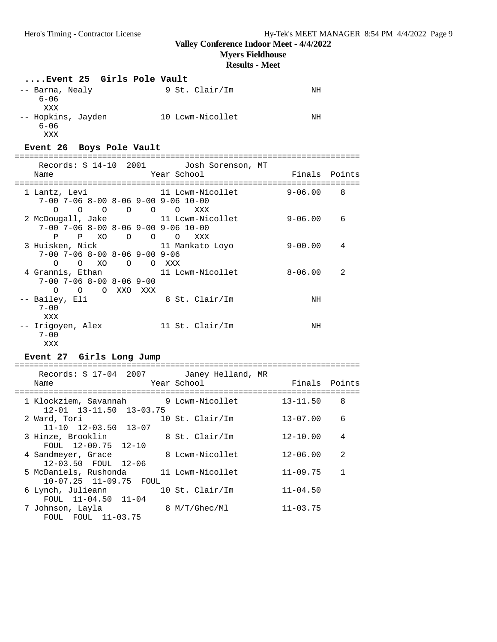### **Myers Fieldhouse**

**Results - Meet**

| Event 25 Girls Pole Vault                                                                                                                       |                |                            |
|-------------------------------------------------------------------------------------------------------------------------------------------------|----------------|----------------------------|
| 9 St. Clair/Im<br>-- Barna, Nealy<br>$6 - 06$<br>XXX                                                                                            | NH             |                            |
| -- Hopkins, Jayden 10 Lcwm-Nicollet<br>$6 - 06$<br>XXX                                                                                          | NH             |                            |
| Event 26 Boys Pole Vault                                                                                                                        |                |                            |
| Records: \$ 14-10 2001 Josh Sorenson, MT                                                                                                        |                |                            |
| Year School<br>Name                                                                                                                             | Finals Points  |                            |
| 11 Lcwm-Nicollet 9-06.00<br>1 Lantz, Levi<br>7-00 7-06 8-00 8-06 9-00 9-06 10-00<br>$\begin{matrix} 0 & 0 & 0 & 0 & 0 \end{matrix}$<br>O<br>XXX |                | $\overline{\phantom{1}}$ 8 |
| 2 McDougall, Jake $11$ Lcwm-Nicollet 9-06.00 6<br>$7-00$ $7-06$ $8-00$ $8-06$ $9-00$ $9-06$ $10-00$<br>P XO O O O XXX<br>P                      |                |                            |
| 3 Huisken, Nick 11 Mankato Loyo<br>$7-00$ $7-06$ $8-00$ $8-06$ $9-00$ $9-06$<br>O XO O O XXX<br>$\Omega$                                        | $9 - 00.00$    | 4                          |
| 4 Grannis, Ethan 11 Lowm-Nicollet 8-06.00<br>$7-00$ $7-06$ $8-00$ $8-06$ $9-00$<br>O O O XXO XXX                                                |                | 2                          |
| 8 St. Clair/Im<br>-- Bailey, Eli<br>$7 - 00$<br>XXX                                                                                             | NH             |                            |
| -- Irigoyen, Alex 11 St. Clair/Im<br>$7 - 00$<br>XXX                                                                                            | NH             |                            |
| Event 27 Girls Long Jump                                                                                                                        |                |                            |
| Records: \$ 17-04 2007 Janey Helland, MR<br>Year School<br>Name                                                                                 | Finals Points  |                            |
| 1 Klockziem, Savannah 9 Lcwm-Nicollet 13-11.50 8<br>12-01 13-11.50 13-03.75                                                                     |                |                            |
| 2 Ward, Tori 10 St. Clair/Im<br>11-10 12-03.50 13-07                                                                                            | $13 - 07.00$ 6 |                            |
| 8 St. Clair/Im<br>3 Hinze, Brooklin<br>FOUL 12-00.75<br>$12 - 10$                                                                               | $12 - 10.00$ 4 |                            |
| 8 Lcwm-Nicollet<br>4 Sandmeyer, Grace<br>$12 - 03.50$<br>FOUL<br>$12 - 06$                                                                      | $12 - 06.00$   | 2                          |
| 5 McDaniels, Rushonda<br>11 Lcwm-Nicollet<br>10-07.25 11-09.75 FOUL                                                                             | $11 - 09.75$   | 1                          |
| 10 St. Clair/Im<br>6 Lynch, Julieann<br>FOUL 11-04.50<br>$11 - 04$                                                                              | $11 - 04.50$   |                            |
| 7 Johnson, Layla<br>8 M/T/Ghec/Ml<br>$11 - 03.75$<br>FOUL<br>FOUL                                                                               | $11 - 03.75$   |                            |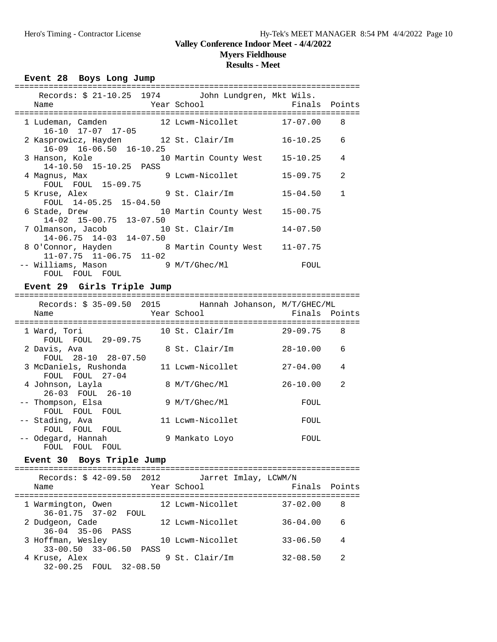**Myers Fieldhouse**

## **Results - Meet**

| Event 28 Boys Long Jump<br>===================================                                                                   |                |              |  |  |
|----------------------------------------------------------------------------------------------------------------------------------|----------------|--------------|--|--|
| Records: \$ 21-10.25 1974 John Lundgren, Mkt Wils.<br><b>Example 2</b> Year School<br>Name<br>================================== | Finals Points  |              |  |  |
| 1 Ludeman, Camden 12 Lowm-Nicollet 17-07.00 8<br>$16 - 10$ $17 - 07$ $17 - 05$                                                   |                |              |  |  |
| 2 Kasprowicz, Hayden 12 St. Clair/Im<br>16-09 16-06.50 16-10.25                                                                  | $16 - 10.25$ 6 |              |  |  |
| 3 Hanson, Kole                       10 Martin County West     15-10.25<br>14-10.50 15-10.25 PASS                                |                | 4            |  |  |
| 9 Lcwm-Nicollet<br>4 Magnus, Max<br>FOUL FOUL 15-09.75                                                                           | 15-09.75       | 2            |  |  |
| 9 St. Clair/Im<br>5 Kruse, Alex<br>FOUL 14-05.25 15-04.50                                                                        | $15 - 04.50$   | $\mathbf{1}$ |  |  |
| 6 Stade, Drew 10 Martin County West<br>14-02 15-00.75 13-07.50                                                                   | $15 - 00.75$   |              |  |  |
| 7 Olmanson, Jacob 10 St. Clair/Im<br>$14-06.75$ $14-03$ $14-07.50$                                                               | 14-07.50       |              |  |  |
| 8 O'Connor, Hayden 8 Martin County West 11-07.75<br>$11-07.75$ $11-06.75$ $11-02$                                                |                |              |  |  |
| -- Williams, Mason 9 M/T/Ghec/Ml<br>FOUL FOUL FOUL                                                                               | FOUL           |              |  |  |
| Event 29 Girls Triple Jump                                                                                                       |                |              |  |  |
| Records: \$ 35-09.50 2015 Hannah Johanson, M/T/GHEC/ML<br>Name                                                                   |                |              |  |  |
| --------------------------------------<br>-----------------------------------<br>10 St. Clair/Im 29-09.75 8<br>1 Ward, Tori      |                |              |  |  |

| 1 Ward, Tori                |    | $10$ St. Clair/Im | $29 - 09.75$ | 8 |
|-----------------------------|----|-------------------|--------------|---|
| FOUL FOUL 29-09.75          |    |                   |              |   |
| 2 Davis, Ava                |    | 8 St. Clair/Im    | $28 - 10.00$ | 6 |
| FOUL 28-10 28-07.50         |    |                   |              |   |
| 3 McDaniels, Rushonda       |    | 11 Lcwm-Nicollet  | $27 - 04.00$ | 4 |
| FOUL FOUL 27-04             |    |                   |              |   |
| 4 Johnson, Layla            |    | 8 M/T/Ghec/Ml     | $26 - 10.00$ | 2 |
| 26-03 FOUL 26-10            |    |                   |              |   |
| -- Thompson, Elsa           |    | 9 M/T/Ghec/Ml     | FOUL         |   |
| FOUL FOUL<br>FOUL           |    |                   |              |   |
| -- Stading, Ava             |    | 11 Lcwm-Nicollet  | FOUL         |   |
| FOUL<br><b>FOUL</b><br>FOUL |    |                   |              |   |
| -- Odegard, Hannah          | 9. | Mankato Loyo      | FOUL         |   |
| FOUL<br>FOUL.<br>FOUL       |    |                   |              |   |

### **Event 30 Boys Triple Jump**

| Records: \$ 42-09.50 2012<br>Name               | Jarret Imlay, LCWM/N<br>Year School | Finals       | Points         |
|-------------------------------------------------|-------------------------------------|--------------|----------------|
| 1 Warmington, Owen<br>36-01.75 37-02 FOUL       | 12 Lcwm-Nicollet                    | $37 - 02.00$ | 8              |
| 2 Dudgeon, Cade<br>$36 - 04$ $35 - 06$ PASS     | 12 Lcwm-Nicollet                    | $36 - 04.00$ | 6              |
| 3 Hoffman, Wesley<br>$33-00.50$ $33-06.50$ PASS | 10 Lcwm-Nicollet                    | $33 - 06.50$ | $\overline{4}$ |
| 4 Kruse, Alex<br>32-00.25 FOUL 32-08.50         | 9 St. Clair/Im                      | $32 - 08.50$ | 2              |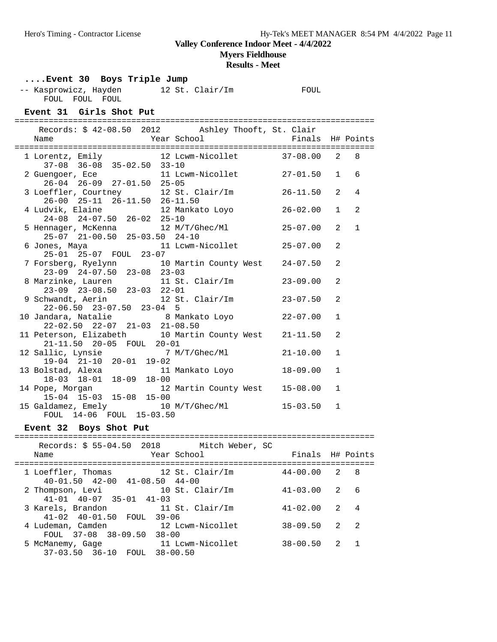## **Myers Fieldhouse**

**Results - Meet**

### **....Event 30 Boys Triple Jump**

-- Kasprowicz, Hayden 12 St. Clair/Im FOUL FOUL FOUL FOUL

### **Event 31 Girls Shot Put**

========================================================================== Records: \$ 42-08.50 2012 Ashley Thooft, St. Clair

| Name                                                                                     | Year School <a> Finals<br/> H# Points</a> |                |                |              |
|------------------------------------------------------------------------------------------|-------------------------------------------|----------------|----------------|--------------|
| 1 Lorentz, Emily 12 Lowm-Nicollet 37-08.00 2 8<br>$37-08$ $36-08$ $35-02.50$ $33-10$     |                                           |                |                |              |
| 2 Guengoer, Ece 11 Lowm-Nicollet 27-01.50<br>26-04 26-09 27-01.50 25-05                  |                                           |                | $\mathbf{1}$   | 6            |
| 3 Loeffler, Courtney 12 St. Clair/Im 26-11.50 2<br>26-00 25-11 26-11.50 26-11.50         |                                           |                |                | 4            |
| 4 Ludvik, Elaine 12 Mankato Loyo<br>24-08 24-07.50 26-02 25-10                           |                                           | $26 - 02.00$ 1 |                | 2            |
| 5 Hennager, McKenna 12 M/T/Ghec/Ml<br>25-07 21-00.50 25-03.50 24-10                      |                                           | $25 - 07.00$   | 2              | $\mathbf{1}$ |
| 6 Jones, Maya 11 Lowm-Nicollet 25-07.00<br>25-01 25-07 FOUL 23-07                        |                                           |                | $\mathfrak{D}$ |              |
| 7 Forsberg, Ryelynn 10 Martin County West 24-07.50<br>$23-09$ $24-07.50$ $23-08$ $23-03$ |                                           |                | 2              |              |
| 8 Marzinke, Lauren 11 St. Clair/Im<br>23-09 23-08.50 23-03 22-01                         |                                           | $23 - 09.00$   | $\mathfrak{D}$ |              |
| 9 Schwandt, Aerin 12 St. Clair/Im 23-07.50<br>$22-06.50$ $23-07.50$ $23-04$ 5            |                                           |                | 2              |              |
| 10 Jandara, Natalie 18 Mankato Loyo 122-07.00<br>22-02.50 22-07 21-03 21-08.50           |                                           |                | $\mathbf{1}$   |              |
| 11 Peterson, Elizabeth 10 Martin County West 21-11.50<br>21-11.50 20-05 FOUL 20-01       |                                           |                | 2              |              |
| 12 Sallic, Lynsie 7 M/T/Ghec/Ml 21-10.00<br>19-04 21-10 20-01 19-02                      |                                           |                | $\mathbf{1}$   |              |
| 13 Bolstad, Alexa 11 Mankato Loyo<br>18-03 18-01 18-09 18-00                             |                                           | 18-09.00       | $\mathbf{1}$   |              |
| 14 Pope, Morgan 12 Martin County West 15-08.00<br>15-04 15-03 15-08 15-00                |                                           |                | $\mathbf{1}$   |              |
| 15 Galdamez, Emely 10 M/T/Ghec/Ml 15-03.50<br>FOUL 14-06 FOUL 15-03.50                   |                                           |                | $\mathbf{1}$   |              |
|                                                                                          |                                           |                |                |              |

### **Event 32 Boys Shot Put**

### ========================================================================== Records: \$ 55-04.50 2018 Mitch Weber, SC Name The Year School The Finals H# Points ========================================================================== 1 Loeffler, Thomas 12 St. Clair/Im 44-00.00 2 8 40-01.50 42-00 41-08.50 44-00 2 Thompson, Levi 10 St. Clair/Im 41-03.00 2 6 41-01 40-07 35-01 41-03 3 Karels, Brandon 11 St. Clair/Im 41-02.00 2 4 41-02 40-01.50 FOUL 39-06 12 Lcwm-Nicollet 38-09.50 2 2 FOUL 37-08 38-09.50 38-00<br>5 McManemy, Gage 11 Lo 5 McManemy, Gage 11 Lcwm-Nicollet 38-00.50 2 1 37-03.50 36-10 FOUL 38-00.50